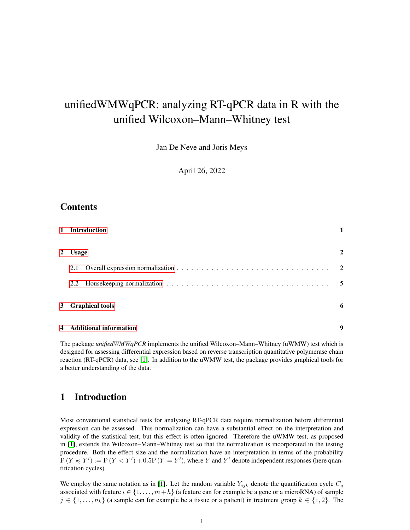# unifiedWMWqPCR: analyzing RT-qPCR data in R with the unified Wilcoxon–Mann–Whitney test

Jan De Neve and Joris Meys

April 26, 2022

### **Contents**

|             | 1 Introduction           |                |
|-------------|--------------------------|----------------|
| $2^{\circ}$ | <b>Usage</b>             | 2              |
|             | 2.1                      | $\overline{2}$ |
|             | 2.2                      | $\overline{5}$ |
|             | 3 Graphical tools        | 6              |
|             | 4 Additional information | 9              |

The package *unifiedWMWqPCR* implements the unified Wilcoxon–Mann–Whitney (uWMW) test which is designed for assessing differential expression based on reverse transcription quantitative polymerase chain reaction (RT-qPCR) data, see [\[1\]](#page-8-1). In addition to the uWMW test, the package provides graphical tools for a better understanding of the data.

### <span id="page-0-0"></span>1 Introduction

Most conventional statistical tests for analyzing RT-qPCR data require normalization before differential expression can be assessed. This normalization can have a substantial effect on the interpretation and validity of the statistical test, but this effect is often ignored. Therefore the uWMW test, as proposed in [\[1\]](#page-8-1), extends the Wilcoxon–Mann–Whitney test so that the normalization is incorporated in the testing procedure. Both the effect size and the normalization have an interpretation in terms of the probability  $P(Y \preccurlyeq Y') := P(Y < Y') + 0.5P(Y = Y')$ , where Y and Y' denote independent responses (here quantification cycles).

We employ the same notation as in [\[1\]](#page-8-1). Let the random variable  $Y_{ijk}$  denote the quantification cycle  $C_q$ associated with feature  $i \in \{1, \ldots, m+h\}$  (a feature can for example be a gene or a microRNA) of sample  $j \in \{1, \ldots, n_k\}$  (a sample can for example be a tissue or a patient) in treatment group  $k \in \{1, 2\}$ . The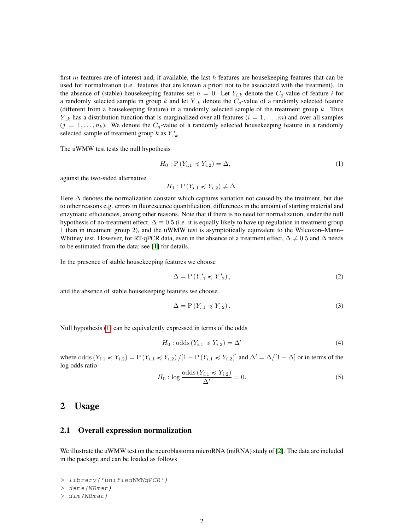first m features are of interest and, if available, the last h features are housekeeping features that can be used for normalization (i.e. features that are known a priori not to be associated with the treatment). In the absence of (stable) housekeeping features set  $h = 0$ . Let  $Y_{i,k}$  denote the  $C_q$ -value of feature i for a randomly selected sample in group k and let  $Y_{\cdot,k}$  denote the  $C_q$ -value of a randomly selected feature (different from a housekeeping feature) in a randomly selected sample of the treatment group  $k$ . Thus  $Y_{k,k}$  has a distribution function that is marginalized over all features  $(i = 1, \ldots, m)$  and over all samples  $(j = 1, \ldots, n_k)$ . We denote the  $C_q$ -value of a randomly selected housekeeping feature in a randomly selected sample of treatment group  $k$  as  $Y^*_{\ldots k}$ .

The uWMW test tests the null hypothesis

<span id="page-1-2"></span>
$$
H_0: \mathcal{P}(Y_{i.1} \preccurlyeq Y_{i.2}) = \Delta,\tag{1}
$$

against the two-sided alternative

 $H_1$ :  $P(Y_{i,1} \preccurlyeq Y_{i,2}) \neq \Delta$ .

Here ∆ denotes the normalization constant which captures variation not caused by the treatment, but due to other reasons e.g. errors in fluorescence quantification, differences in the amount of starting material and enzymatic efficiencies, among other reasons. Note that if there is no need for normalization, under the null hypothesis of no-treatment effect,  $\Delta \equiv 0.5$  (i.e. it is equally likely to have up regulation in treatment group 1 than in treatment group 2), and the uWMW test is asymptotically equivalent to the Wilcoxon–Mann– Whitney test. However, for RT-qPCR data, even in the absence of a treatment effect,  $\Delta \neq 0.5$  and  $\Delta$  needs to be estimated from the data; see [\[1\]](#page-8-1) for details.

In the presence of stable housekeeping features we choose

<span id="page-1-5"></span>
$$
\Delta = P(Y_{..1}^* \preccurlyeq Y_{..2}^*),\tag{2}
$$

and the absence of stable housekeeping features we choose

<span id="page-1-3"></span>
$$
\Delta = P(Y_{..1} \preccurlyeq Y_{..2}).\tag{3}
$$

Null hypothesis [\(1\)](#page-1-2) can be equivalently expressed in terms of the odds

$$
H_0: \text{odds}\left(Y_{i.1} \preccurlyeq Y_{i.2}\right) = \Delta'\tag{4}
$$

where odds  $(Y_{i,1} \preccurlyeq Y_{i,2}) = P(Y_{i,1} \preccurlyeq Y_{i,2}) / [1 - P(Y_{i,1} \preccurlyeq Y_{i,2})]$  and  $\Delta' = \Delta / [1 - \Delta]$  or in terms of the log odds ratio

<span id="page-1-4"></span>
$$
H_0: \log \frac{\text{odds}(Y_{i.1} \preccurlyeq Y_{i.2})}{\Delta'} = 0. \tag{5}
$$

### <span id="page-1-0"></span>2 Usage

#### <span id="page-1-1"></span>2.1 Overall expression normalization

We illustrate the uWMW test on the neuroblastoma microRNA (miRNA) study of [\[2\]](#page-8-2). The data are included in the package and can be loaded as follows

```
> library('unifiedWMWqPCR')
```

```
> data(NBmat)
```

```
> dim(NBmat)
```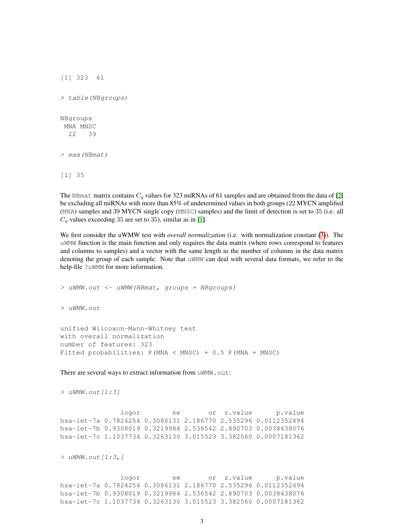```
[1] 323 61
> table(NBgroups)
NBgroups
MNA MNSC
 22 39
> max(NBmat)
[1] 35
```
The NBmat matrix contains  $C_q$  values for 323 miRNAs of 61 samples and are obtained from the data of [\[2\]](#page-8-2) be excluding all miRNAs with more than 85% of undetermined values in both groups (22 MYCN amplified (MNA) samples and 39 MYCN single copy (MNSC) samples) and the limit of detection is set to 35 (i.e. all  $C_q$  values exceeding 35 are set to 35), similar as in [\[1\]](#page-8-1).

We first consider the uWMW test with *overall normalization* (i.e. with normalization constant [\(3\)](#page-1-3)). The uWMW function is the main function and only requires the data matrix (where rows correspond to features and columns to samples) and a vector with the same length as the number of columns in the data matrix denoting the group of each sample. Note that uWMW can deal with several data formats, we refer to the help-file ?uWMW for more information.

> uWMW.out <- uWMW(NBmat, groups = NBgroups) > uWMW.out unified Wilcoxon-Mann-Whitney test with overall normalization number of features: 323 Fitted probabilities: P(MNA < MNSC) + 0.5 P(MNA = MNSC) There are several ways to extract information from uWMW.out:

```
> uWMW.out[1:3]
```
logor se or z.value p.value hsa-let-7a 0.7824254 0.3086131 2.186770 2.535296 0.0112352494 hsa-let-7b 0.9308019 0.3219984 2.536542 2.890703 0.0038438076 hsa-let-7c 1.1037734 0.3263130 3.015523 3.382560 0.0007181362

 $>$  uWMW.out  $[1:3,1]$ 

logor se or z.value p.value hsa-let-7a 0.7824254 0.3086131 2.186770 2.535296 0.0112352494 hsa-let-7b 0.9308019 0.3219984 2.536542 2.890703 0.0038438076 hsa-let-7c 1.1037734 0.3263130 3.015523 3.382560 0.0007181362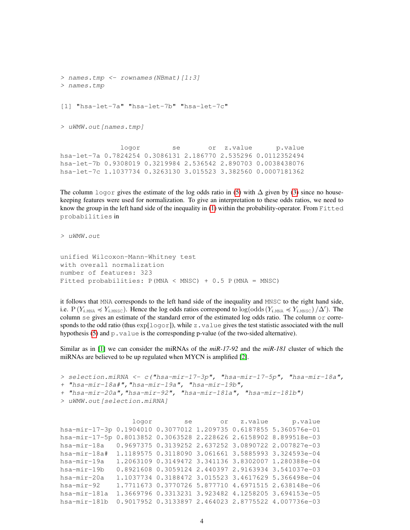```
> names.tmp <- rownames(NBmat)[1:3]
> names.tmp
[1] "hsa-let-7a" "hsa-let-7b" "hsa-let-7c"
> uWMW.out [names.tmp]
              logor se or z.value p.value
hsa-let-7a 0.7824254 0.3086131 2.186770 2.535296 0.0112352494
hsa-let-7b 0.9308019 0.3219984 2.536542 2.890703 0.0038438076
hsa-let-7c 1.1037734 0.3263130 3.015523 3.382560 0.0007181362
```
The column logor gives the estimate of the log odds ratio in [\(5\)](#page-1-4) with  $\Delta$  given by [\(3\)](#page-1-3) since no housekeeping features were used for normalization. To give an interpretation to these odds ratios, we need to know the group in the left hand side of the inequality in [\(1\)](#page-1-2) within the probability-operator. From Fitted probabilities in

> uWMW.out

```
unified Wilcoxon-Mann-Whitney test
with overall normalization
number of features: 323
Fitted probabilities: P(MNA < MNSC) + 0.5 P(MNA = MNSC)
```
it follows that MNA corresponds to the left hand side of the inequality and MNSC to the right hand side, i.e.  $P(Y_{i,\text{MNA}} \preccurlyeq Y_{i,\text{MNSC}})$ . Hence the log odds ratios correspond to  $\log(\text{odds}(Y_{i,\text{MNA}} \preccurlyeq Y_{i,\text{MNSC}})/\Delta')$ . The column se gives an estimate of the standard error of the estimated log odds ratio. The column  $\circ$  corresponds to the odd ratio (thus  $\exp[log\sigma r]$ ), while z.value gives the test statistic associated with the null hypothesis  $(5)$  and  $p$ . value is the corresponding p-value (of the two-sided alternative).

Similar as in [\[1\]](#page-8-1) we can consider the miRNAs of the *miR-17-92* and the *miR-181* cluster of which the miRNAs are believed to be up regulated when MYCN is amplified [\[2\]](#page-8-2).

```
> selection.miRNA <- c("hsa-mir-17-3p", "hsa-mir-17-5p", "hsa-mir-18a",
+ "hsa-mir-18a#","hsa-mir-19a", "hsa-mir-19b",
+ "hsa-mir-20a","hsa-mir-92", "hsa-mir-181a", "hsa-mir-181b")
> uWMW.out[selection.miRNA]
```
logor se or z.value p.value hsa-mir-17-3p 0.1904010 0.3077012 1.209735 0.6187855 5.360576e-01 hsa-mir-17-5p 0.8013852 0.3063528 2.228626 2.6158902 8.899518e-03 hsa-mir-18a 0.9697375 0.3139252 2.637252 3.0890722 2.007827e-03 hsa-mir-18a# 1.1189575 0.3118090 3.061661 3.5885993 3.324593e-04 hsa-mir-19a 1.2063109 0.3149472 3.341136 3.8302007 1.280388e-04 hsa-mir-19b 0.8921608 0.3059124 2.440397 2.9163934 3.541037e-03 hsa-mir-20a 1.1037734 0.3188472 3.015523 3.4617629 5.366498e-04 hsa-mir-92 1.7711673 0.3770726 5.877710 4.6971515 2.638148e-06 hsa-mir-181a 1.3669796 0.3313231 3.923482 4.1258205 3.694153e-05 hsa-mir-181b 0.9017952 0.3133897 2.464023 2.8775522 4.007736e-03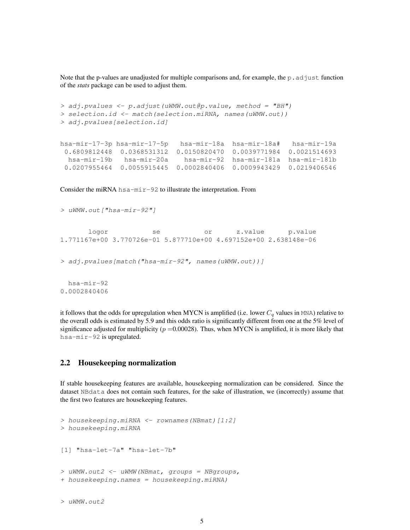Note that the p-values are unadjusted for multiple comparisons and, for example, the p. adjust function of the *stats* package can be used to adjust them.

```
> adj.pvalues <- p.adjust(uWMW.out@p.value, method = "BH")
> selection.id <- match(selection.miRNA, names(uWMW.out))
> adj.pvalues[selection.id]
hsa-mir-17-3p hsa-mir-17-5p hsa-mir-18a hsa-mir-18a# hsa-mir-19a
0.6809812448 0.0368531312 0.0150820470 0.0039771984 0.0021514693
 hsa-mir-19b hsa-mir-20a hsa-mir-92 hsa-mir-181a hsa-mir-181b
0.0207955464 0.0055915445 0.0002840406 0.0009943429 0.0219406546
```
Consider the miRNA  $hsa-mir-92$  to illustrate the interpretation. From

```
> uWMW.out["hsa-mir-92"]
      logor se or z.value p.value
1.771167e+00 3.770726e-01 5.877710e+00 4.697152e+00 2.638148e-06
> adj.pvalues[match("hsa-mir-92", names(uWMW.out))]
 hsa-mir-92
0.0002840406
```
it follows that the odds for upregulation when MYCN is amplified (i.e. lower  $C_q$  values in MNA) relative to the overall odds is estimated by 5.9 and this odds ratio is significantly different from one at the 5% level of significance adjusted for multiplicity ( $p = 0.00028$ ). Thus, when MYCN is amplified, it is more likely that hsa-mir-92 is upregulated.

#### <span id="page-4-0"></span>2.2 Housekeeping normalization

If stable housekeeping features are available, housekeeping normalization can be considered. Since the dataset NBdata does not contain such features, for the sake of illustration, we (incorrectly) assume that the first two features are housekeeping features.

```
> housekeeping.miRNA <- rownames(NBmat)[1:2]
> housekeeping.miRNA
[1] "hsa-let-7a" "hsa-let-7b"
> uWMW.out2 <- uWMW(NBmat, groups = NBgroups,
+ housekeeping.names = housekeeping.miRNA)
```

```
> uWMW.out2
```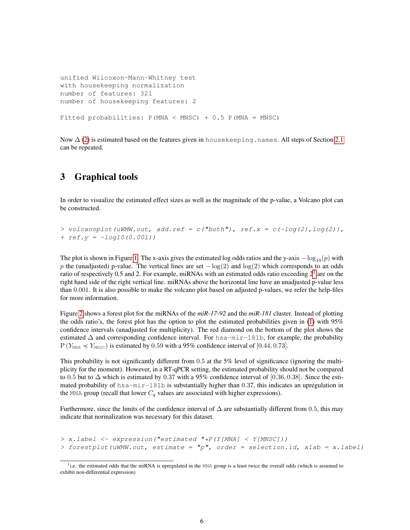```
unified Wilcoxon-Mann-Whitney test
with housekeeping normalization
number of features: 321
number of housekeeping features: 2
Fitted probabilities: P(MNA < MNSC) + 0.5 P(MNA = MNSC)
```
Now  $\Delta$  [\(2\)](#page-1-5) is estimated based on the features given in house keeping.names. All steps of Section [2.1](#page-1-1) can be repeated.

### <span id="page-5-0"></span>3 Graphical tools

In order to visualize the estimated effect sizes as well as the magnitude of the p-value, a Volcano plot can be constructed.

```
> volcanoplot(uWMW.out, add.ref = c("both"), ref.x = c(-log(2), log(2)),
+ ref.y = -log10(0.001))
```
The plot is shown in Figure [1.](#page-6-0) The x-axis gives the estimated log odds ratios and the y-axis  $-\log_{10}(p)$  with p the (unadjusted) p-value. The vertical lines are set  $-\log(2)$  and  $\log(2)$  which corresponds to an odds ratio of respectively 0.5 and 2. For example, miRNAs with an estimated odds ratio exceeding  $2<sup>1</sup>$  $2<sup>1</sup>$  $2<sup>1</sup>$  are on the right hand side of the right vertical line. miRNAs above the horizontal line have an unadjusted p-value less than 0.001. It is also possible to make the volcano plot based on adjusted p-values, we refer the help-files for more information.

Figure [2](#page-7-0) shows a forest plot for the miRNAs of the *miR-17-92* and the *miR-181* cluster. Instead of plotting the odds ratio's, the forest plot has the option to plot the estimated probabilities given in  $(1)$  with 95% confidence intervals (unadjusted for multiplicity). The red diamond on the bottom of the plot shows the estimated  $\Delta$  and corresponding confidence interval. For hsa-mir-181b, for example, the probability  $P(Y_{MNA} \leq Y_{MNSC})$  is estimated by 0.59 with a 95% confidence interval of [0.44, 0.73].

This probability is not significantly different from 0.5 at the 5% level of significance (ignoring the multiplicity for the moment). However, in a RT-qPCR setting, the estimated probability should not be compared to 0.5 but to  $\Delta$  which is estimated by 0.37 with a 95% confidence interval of [0.36, 0.38]. Since the estimated probability of  $hsa-mir-181b$  is substantially higher than 0.37, this indicates an upregulation in the MNA group (recall that lower  $C_q$  values are associated with higher expressions).

Furthermore, since the limits of the confidence interval of  $\Delta$  are substantially different from 0.5, this may indicate that normalization was necessary for this dataset.

```
> x.label <- expression("estimated "*P(Y[MNA] < Y[MNSC]))
> forestplot(uWMW.out, estimate = "p", order = selection.id, xlab = x.label)
```
<span id="page-5-1"></span><sup>&</sup>lt;sup>1</sup>i.e. the estimated odds that the miRNA is upregulated in the MNA group is a least twice the overall odds (which is assumed to exhibit non-differential expression)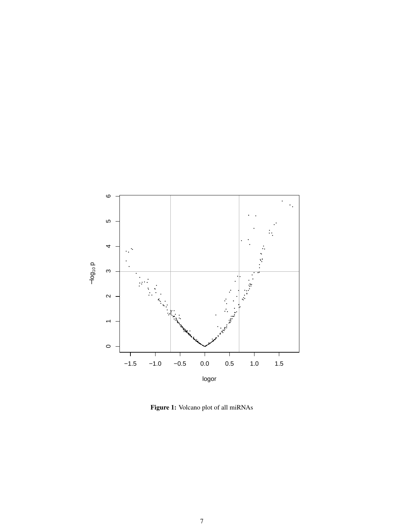<span id="page-6-0"></span>

Figure 1: Volcano plot of all miRNAs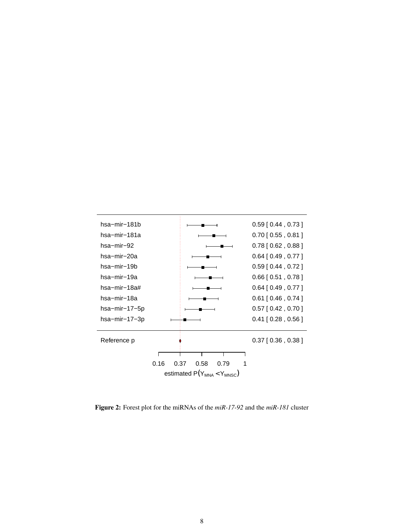<span id="page-7-0"></span>

Figure 2: Forest plot for the miRNAs of the *miR-17-92* and the *miR-181* cluster